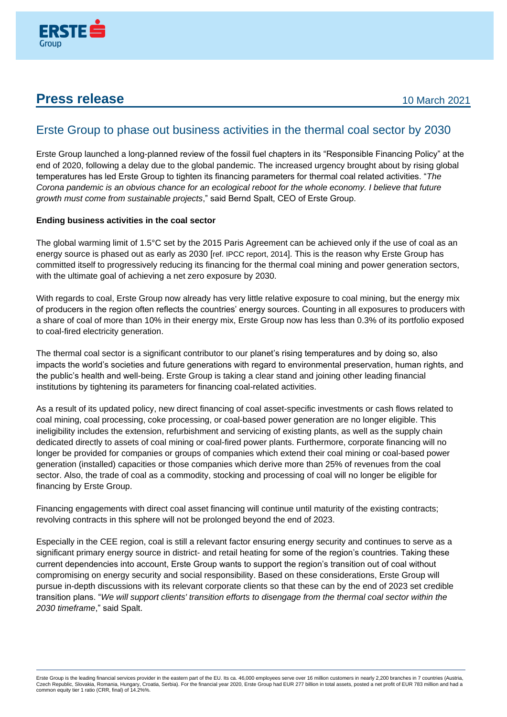

## **Press release** 10 March 2021

## Erste Group to phase out business activities in the thermal coal sector by 2030

Erste Group launched a long-planned review of the fossil fuel chapters in its "Responsible Financing Policy" at the end of 2020, following a delay due to the global pandemic. The increased urgency brought about by rising global temperatures has led Erste Group to tighten its financing parameters for thermal coal related activities. "*The Corona pandemic is an obvious chance for an ecological reboot for the whole economy. I believe that future growth must come from sustainable projects*," said Bernd Spalt, CEO of Erste Group.

## **Ending business activities in the coal sector**

The global warming limit of 1.5°C set by the 2015 Paris Agreement can be achieved only if the use of coal as an energy source is phased out as early as 2030 [ref. IPCC report, 2014]. This is the reason why Erste Group has committed itself to progressively reducing its financing for the thermal coal mining and power generation sectors, with the ultimate goal of achieving a net zero exposure by 2030.

With regards to coal, Erste Group now already has very little relative exposure to coal mining, but the energy mix of producers in the region often reflects the countries' energy sources. Counting in all exposures to producers with a share of coal of more than 10% in their energy mix, Erste Group now has less than 0.3% of its portfolio exposed to coal-fired electricity generation.

The thermal coal sector is a significant contributor to our planet's rising temperatures and by doing so, also impacts the world's societies and future generations with regard to environmental preservation, human rights, and the public's health and well-being. Erste Group is taking a clear stand and joining other leading financial institutions by tightening its parameters for financing coal-related activities.

As a result of its updated policy, new direct financing of coal asset-specific investments or cash flows related to coal mining, coal processing, coke processing, or coal-based power generation are no longer eligible. This ineligibility includes the extension, refurbishment and servicing of existing plants, as well as the supply chain dedicated directly to assets of coal mining or coal-fired power plants. Furthermore, corporate financing will no longer be provided for companies or groups of companies which extend their coal mining or coal-based power generation (installed) capacities or those companies which derive more than 25% of revenues from the coal sector. Also, the trade of coal as a commodity, stocking and processing of coal will no longer be eligible for financing by Erste Group.

Financing engagements with direct coal asset financing will continue until maturity of the existing contracts; revolving contracts in this sphere will not be prolonged beyond the end of 2023.

Especially in the CEE region, coal is still a relevant factor ensuring energy security and continues to serve as a significant primary energy source in district- and retail heating for some of the region's countries. Taking these current dependencies into account, Erste Group wants to support the region's transition out of coal without compromising on energy security and social responsibility. Based on these considerations, Erste Group will pursue in-depth discussions with its relevant corporate clients so that these can by the end of 2023 set credible transition plans. "*We will support clients' transition efforts to disengage from the thermal coal sector within the 2030 timeframe*," said Spalt.

Erste Group is the leading financial services provider in the eastern part of the EU. Its ca. 46,000 employees serve over 16 million customers in nearly 2,200 branches in 7 countries (Austria,<br>Czech Republic, Slovakia, Rom common equity tier 1 ratio (CRR, final) of 14.2%%.